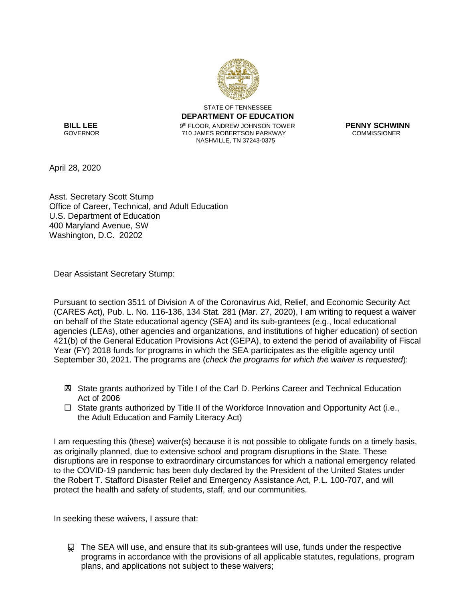

STATE OF TENNESSEE **DEPARTMENT OF EDUCATION**  th FLOOR, ANDREW JOHNSON TOWER **PENNY SCHWINN** 710 JAMES ROBERTSON PARKWAY NASHVILLE, TN 37243-0375

**BILL LEE**<br>GOVERNOR

April 28, 2020

Asst. Secretary Scott Stump Office of Career, Technical, and Adult Education U.S. Department of Education 400 Maryland Avenue, SW Washington, D.C. 20202

Dear Assistant Secretary Stump:

Pursuant to section 3511 of Division A of the Coronavirus Aid, Relief, and Economic Security Act (CARES Act), Pub. L. No. 116-136, 134 Stat. 281 (Mar. 27, 2020), I am writing to request a waiver on behalf of the State educational agency (SEA) and its sub-grantees (e.g., local educational agencies (LEAs), other agencies and organizations, and institutions of higher education) of section 421(b) of the General Education Provisions Act (GEPA), to extend the period of availability of Fiscal Year (FY) 2018 funds for programs in which the SEA participates as the eligible agency until September 30, 2021. The programs are (*check the programs for which the waiver is requested*):

- State grants authorized by Title I of the Carl D. Perkins Career and Technical Education X Act of 2006
- $\Box$  State grants authorized by Title II of the Workforce Innovation and Opportunity Act (i.e., the Adult Education and Family Literacy Act)

I am requesting this (these) waiver(s) because it is not possible to obligate funds on a timely basis, as originally planned, due to extensive school and program disruptions in the State. These disruptions are in response to extraordinary circumstances for which a national emergency related to the COVID-19 pandemic has been duly declared by the President of the United States under the Robert T. Stafford Disaster Relief and Emergency Assistance Act, P.L. 100-707, and will protect the health and safety of students, staff, and our communities.

In seeking these waivers, I assure that:

 $\varphi$  The SEA will use, and ensure that its sub-grantees will use, funds under the respective programs in accordance with the provisions of all applicable statutes, regulations, program plans, and applications not subject to these waivers;